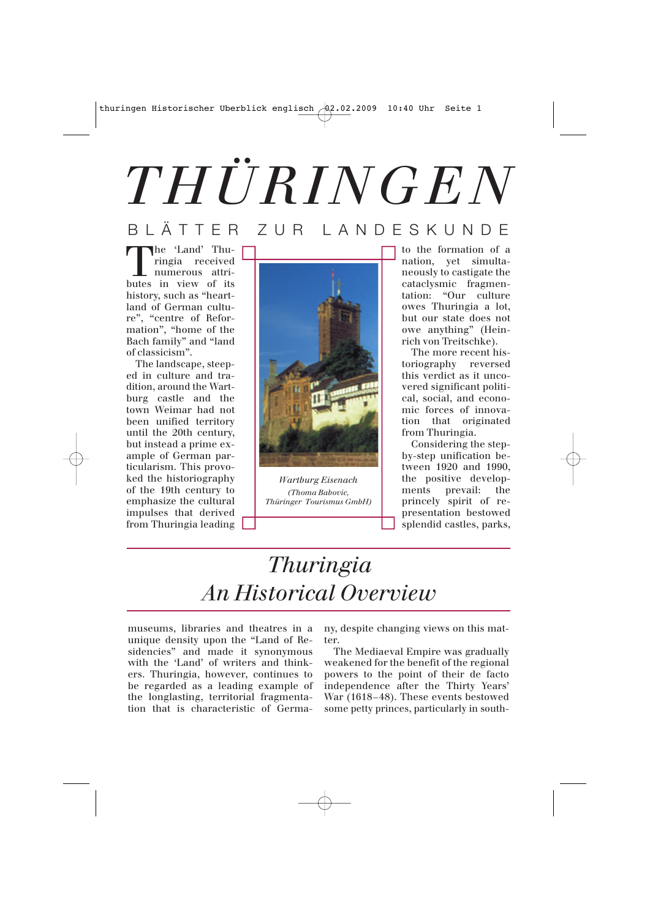# *THÜRINGEN*

#### BLÄTTER ZUR LANDESKUNDE

The 'Land' Thu-<br>
ringia received<br>
numerous attri-<br>
butes in view of its ringia received numerous attributes in view of its history, such as "heartland of German culture", "centre of Reformation", "home of the Bach family" and "land of classicism".

The landscape, steeped in culture and tradition, around the Wartburg castle and the town Weimar had not been unified territory until the 20th century, but instead a prime example of German particularism. This provoked the historiography of the 19th century to emphasize the cultural impulses that derived from Thuringia leading



*Wartburg Eisenach (Thoma Babovic, Thüringer Tourismus GmbH)*

to the formation of a nation, yet simultaneously to castigate the cataclysmic fragmentation: "Our culture owes Thuringia a lot, but our state does not owe anything" (Heinrich von Treitschke).

The more recent historiography reversed this verdict as it uncovered significant political, social, and economic forces of innovation that originated from Thuringia.

Considering the stepby-step unification between 1920 and 1990, the positive developments prevail: the princely spirit of representation bestowed splendid castles, parks,

## *Thuringia An Historical Overview*

museums, libraries and theatres in a unique density upon the "Land of Residencies" and made it synonymous with the 'Land' of writers and thinkers. Thuringia, however, continues to be regarded as a leading example of the longlasting, territorial fragmentation that is characteristic of Germany, despite changing views on this matter.

The Mediaeval Empire was gradually weakened for the benefit of the regional powers to the point of their de facto independence after the Thirty Years' War (1618–48). These events bestowed some petty princes, particularly in south-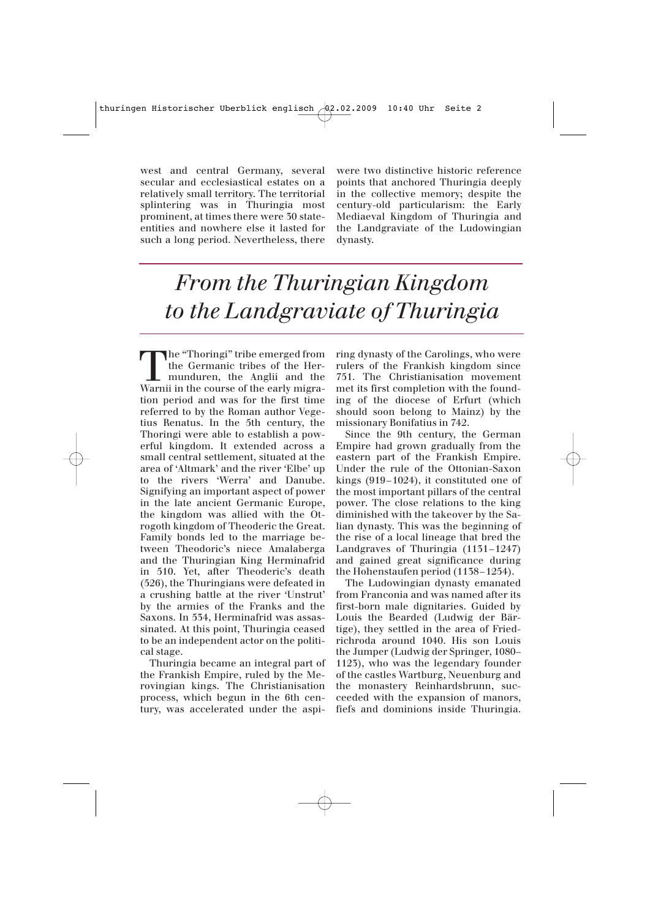west and central Germany, several secular and ecclesiastical estates on a relatively small territory. The territorial splintering was in Thuringia most prominent, at times there were 30 stateentities and nowhere else it lasted for such a long period. Nevertheless, there

were two distinctive historic reference points that anchored Thuringia deeply in the collective memory; despite the century-old particularism: the Early Mediaeval Kingdom of Thuringia and the Landgraviate of the Ludowingian dynasty.

## *From the Thuringian Kingdom to the Landgraviate of Thuringia*

The "Thoringi" tribe emerged from<br>the Germanic tribes of the Her-<br>munduren, the Anglii and the<br>Warnii in the course of the early migrathe Germanic tribes of the Hermunduren, the Anglii and the Warnii in the course of the early migration period and was for the first time referred to by the Roman author Vegetius Renatus. In the 5th century, the Thoringi were able to establish a powerful kingdom. It extended across a small central settlement, situated at the area of 'Altmark' and the river 'Elbe' up to the rivers 'Werra' and Danube. Signifying an important aspect of power in the late ancient Germanic Europe, the kingdom was allied with the Otrogoth kingdom of Theoderic the Great. Family bonds led to the marriage between Theodoric's niece Amalaberga and the Thuringian King Herminafrid in 510. Yet, after Theoderic's death (526), the Thuringians were defeated in a crushing battle at the river 'Unstrut' by the armies of the Franks and the Saxons. In 534, Herminafrid was assassinated. At this point, Thuringia ceased to be an independent actor on the political stage.

Thuringia became an integral part of the Frankish Empire, ruled by the Merovingian kings. The Christianisation process, which begun in the 6th century, was accelerated under the aspi-

ring dynasty of the Carolings, who were rulers of the Frankish kingdom since 751. The Christianisation movement met its first completion with the founding of the diocese of Erfurt (which should soon belong to Mainz) by the missionary Bonifatius in 742.

Since the 9th century, the German Empire had grown gradually from the eastern part of the Frankish Empire. Under the rule of the Ottonian-Saxon kings (919–1024), it constituted one of the most important pillars of the central power. The close relations to the king diminished with the takeover by the Salian dynasty. This was the beginning of the rise of a local lineage that bred the Landgraves of Thuringia (1131–1247) and gained great significance during the Hohenstaufen period (1138–1254).

The Ludowingian dynasty emanated from Franconia and was named after its first-born male dignitaries. Guided by Louis the Bearded (Ludwig der Bärtige), they settled in the area of Friedrichroda around 1040. His son Louis the Jumper (Ludwig der Springer, 1080– 1123), who was the legendary founder of the castles Wartburg, Neuenburg and the monastery Reinhardsbrunn, succeeded with the expansion of manors, fiefs and dominions inside Thuringia.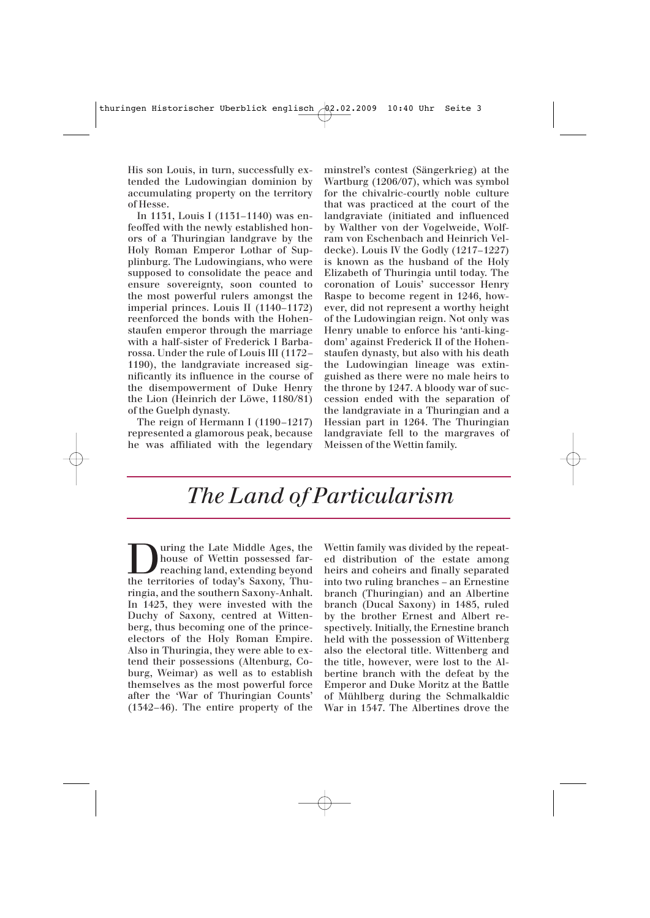His son Louis, in turn, successfully extended the Ludowingian dominion by accumulating property on the territory of Hesse.

In 1131, Louis I (1131–1140) was enfeoffed with the newly established honors of a Thuringian landgrave by the Holy Roman Emperor Lothar of Supplinburg. The Ludowingians, who were supposed to consolidate the peace and ensure sovereignty, soon counted to the most powerful rulers amongst the imperial princes. Louis II (1140–1172) reenforced the bonds with the Hohenstaufen emperor through the marriage with a half-sister of Frederick I Barbarossa. Under the rule of Louis III (1172– 1190), the landgraviate increased significantly its influence in the course of the disempowerment of Duke Henry the Lion (Heinrich der Löwe, 1180/81) of the Guelph dynasty.

The reign of Hermann I (1190–1217) represented a glamorous peak, because he was affiliated with the legendary minstrel's contest (Sängerkrieg) at the Wartburg (1206/07), which was symbol for the chivalric-courtly noble culture that was practiced at the court of the landgraviate (initiated and influenced by Walther von der Vogelweide, Wolfram von Eschenbach and Heinrich Veldecke). Louis IV the Godly (1217–1227) is known as the husband of the Holy Elizabeth of Thuringia until today. The coronation of Louis' successor Henry Raspe to become regent in 1246, however, did not represent a worthy height of the Ludowingian reign. Not only was Henry unable to enforce his 'anti-kingdom' against Frederick II of the Hohenstaufen dynasty, but also with his death the Ludowingian lineage was extinguished as there were no male heirs to the throne by 1247. A bloody war of succession ended with the separation of the landgraviate in a Thuringian and a Hessian part in 1264. The Thuringian landgraviate fell to the margraves of Meissen of the Wettin family.

### *The Land of Particularism*

Unity the Late Middle Ages, the house of Wettin possessed farreaching land, extending beyond the territories of today's Saxony, Thuhouse of Wettin possessed farreaching land, extending beyond ringia, and the southern Saxony-Anhalt. In 1423, they were invested with the Duchy of Saxony, centred at Wittenberg, thus becoming one of the princeelectors of the Holy Roman Empire. Also in Thuringia, they were able to extend their possessions (Altenburg, Coburg, Weimar) as well as to establish themselves as the most powerful force after the 'War of Thuringian Counts' (1342–46). The entire property of the

Wettin family was divided by the repeated distribution of the estate among heirs and coheirs and finally separated into two ruling branches – an Ernestine branch (Thuringian) and an Albertine branch (Ducal Saxony) in 1485, ruled by the brother Ernest and Albert respectively. Initially, the Ernestine branch held with the possession of Wittenberg also the electoral title. Wittenberg and the title, however, were lost to the Albertine branch with the defeat by the Emperor and Duke Moritz at the Battle of Mühlberg during the Schmalkaldic War in 1547. The Albertines drove the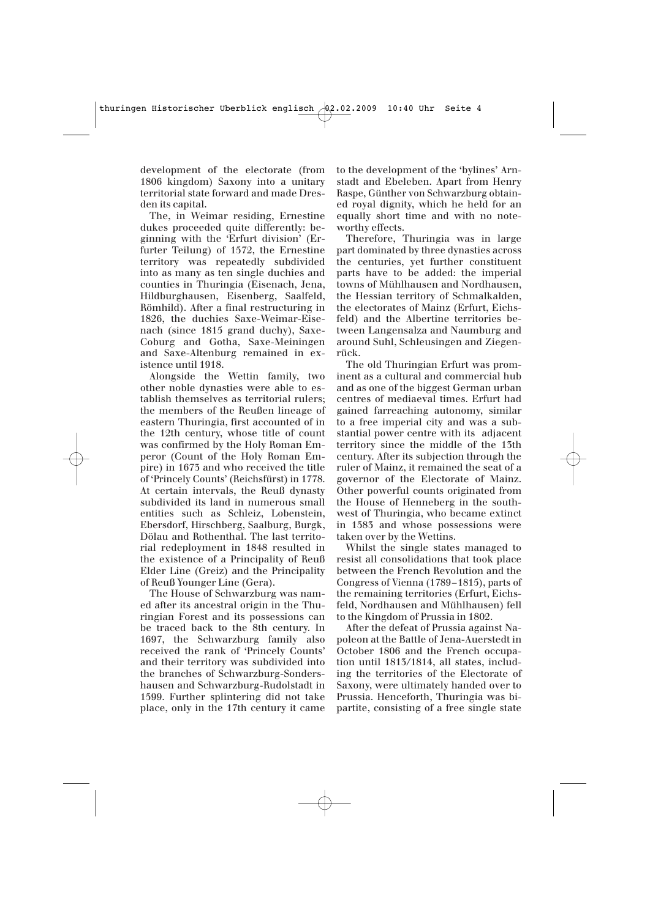development of the electorate (from 1806 kingdom) Saxony into a unitary territorial state forward and made Dresden its capital.

The, in Weimar residing, Ernestine dukes proceeded quite differently: beginning with the 'Erfurt division' (Erfurter Teilung) of 1572, the Ernestine territory was repeatedly subdivided into as many as ten single duchies and counties in Thuringia (Eisenach, Jena, Hildburghausen, Eisenberg, Saalfeld, Römhild). After a final restructuring in 1826, the duchies Saxe-Weimar-Eisenach (since 1815 grand duchy), Saxe-Coburg and Gotha, Saxe-Meiningen and Saxe-Altenburg remained in existence until 1918.

Alongside the Wettin family, two other noble dynasties were able to establish themselves as territorial rulers; the members of the Reußen lineage of eastern Thuringia, first accounted of in the 12th century, whose title of count was confirmed by the Holy Roman Emperor (Count of the Holy Roman Empire) in 1673 and who received the title of 'Princely Counts' (Reichsfürst) in 1778. At certain intervals, the Reuß dynasty subdivided its land in numerous small entities such as Schleiz, Lobenstein, Ebersdorf, Hirschberg, Saalburg, Burgk, Dölau and Rothenthal. The last territorial redeployment in 1848 resulted in the existence of a Principality of Reuß Elder Line (Greiz) and the Principality of Reuß Younger Line (Gera).

The House of Schwarzburg was named after its ancestral origin in the Thuringian Forest and its possessions can be traced back to the 8th century. In 1697, the Schwarzburg family also received the rank of 'Princely Counts' and their territory was subdivided into the branches of Schwarzburg-Sondershausen and Schwarzburg-Rudolstadt in 1599. Further splintering did not take place, only in the 17th century it came

to the development of the 'bylines' Arnstadt and Ebeleben. Apart from Henry Raspe, Günther von Schwarzburg obtained royal dignity, which he held for an equally short time and with no noteworthy effects.

Therefore, Thuringia was in large part dominated by three dynasties across the centuries, yet further constituent parts have to be added: the imperial towns of Mühlhausen and Nordhausen, the Hessian territory of Schmalkalden, the electorates of Mainz (Erfurt, Eichsfeld) and the Albertine territories between Langensalza and Naumburg and around Suhl, Schleusingen and Ziegenrück.

The old Thuringian Erfurt was prominent as a cultural and commercial hub and as one of the biggest German urban centres of mediaeval times. Erfurt had gained farreaching autonomy, similar to a free imperial city and was a substantial power centre with its adjacent territory since the middle of the 13th century. After its subjection through the ruler of Mainz, it remained the seat of a governor of the Electorate of Mainz. Other powerful counts originated from the House of Henneberg in the southwest of Thuringia, who became extinct in 1583 and whose possessions were taken over by the Wettins.

Whilst the single states managed to resist all consolidations that took place between the French Revolution and the Congress of Vienna (1789–1815), parts of the remaining territories (Erfurt, Eichsfeld, Nordhausen and Mühlhausen) fell to the Kingdom of Prussia in 1802.

After the defeat of Prussia against Napoleon at the Battle of Jena-Auerstedt in October 1806 and the French occupation until 1813/1814, all states, including the territories of the Electorate of Saxony, were ultimately handed over to Prussia. Henceforth, Thuringia was bipartite, consisting of a free single state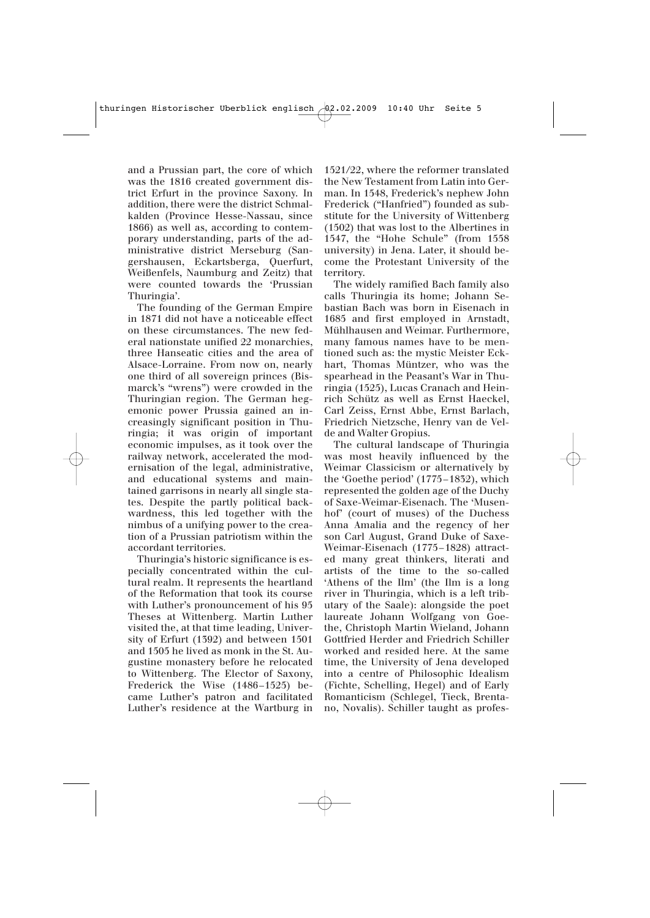and a Prussian part, the core of which was the 1816 created government district Erfurt in the province Saxony. In addition, there were the district Schmalkalden (Province Hesse-Nassau, since 1866) as well as, according to contemporary understanding, parts of the administrative district Merseburg (Sangershausen, Eckartsberga, Querfurt, Weißenfels, Naumburg and Zeitz) that were counted towards the 'Prussian Thuringia'.

The founding of the German Empire in 1871 did not have a noticeable effect on these circumstances. The new federal nationstate unified 22 monarchies, three Hanseatic cities and the area of Alsace-Lorraine. From now on, nearly one third of all sovereign princes (Bismarck's "wrens") were crowded in the Thuringian region. The German hegemonic power Prussia gained an increasingly significant position in Thuringia; it was origin of important economic impulses, as it took over the railway network, accelerated the modernisation of the legal, administrative, and educational systems and maintained garrisons in nearly all single states. Despite the partly political backwardness, this led together with the nimbus of a unifying power to the creation of a Prussian patriotism within the accordant territories.

Thuringia's historic significance is especially concentrated within the cultural realm. It represents the heartland of the Reformation that took its course with Luther's pronouncement of his 95 Theses at Wittenberg. Martin Luther visited the, at that time leading, University of Erfurt (1392) and between 1501 and 1505 he lived as monk in the St. Augustine monastery before he relocated to Wittenberg. The Elector of Saxony, Frederick the Wise (1486–1525) became Luther's patron and facilitated Luther's residence at the Wartburg in

1521/22, where the reformer translated the New Testament from Latin into German. In 1548, Frederick's nephew John Frederick ("Hanfried") founded as substitute for the University of Wittenberg (1502) that was lost to the Albertines in 1547, the "Hohe Schule" (from 1558 university) in Jena. Later, it should become the Protestant University of the territory.

The widely ramified Bach family also calls Thuringia its home; Johann Sebastian Bach was born in Eisenach in 1685 and first employed in Arnstadt, Mühlhausen and Weimar. Furthermore, many famous names have to be mentioned such as: the mystic Meister Eckhart, Thomas Müntzer, who was the spearhead in the Peasant's War in Thuringia (1525), Lucas Cranach and Heinrich Schütz as well as Ernst Haeckel, Carl Zeiss, Ernst Abbe, Ernst Barlach, Friedrich Nietzsche, Henry van de Velde and Walter Gropius.

The cultural landscape of Thuringia was most heavily influenced by the Weimar Classicism or alternatively by the 'Goethe period' (1775–1832), which represented the golden age of the Duchy of Saxe-Weimar-Eisenach. The 'Musenhof' (court of muses) of the Duchess Anna Amalia and the regency of her son Carl August, Grand Duke of Saxe-Weimar-Eisenach (1775–1828) attracted many great thinkers, literati and artists of the time to the so-called 'Athens of the Ilm' (the Ilm is a long river in Thuringia, which is a left tributary of the Saale): alongside the poet laureate Johann Wolfgang von Goethe, Christoph Martin Wieland, Johann Gottfried Herder and Friedrich Schiller worked and resided here. At the same time, the University of Jena developed into a centre of Philosophic Idealism (Fichte, Schelling, Hegel) and of Early Romanticism (Schlegel, Tieck, Brentano, Novalis). Schiller taught as profes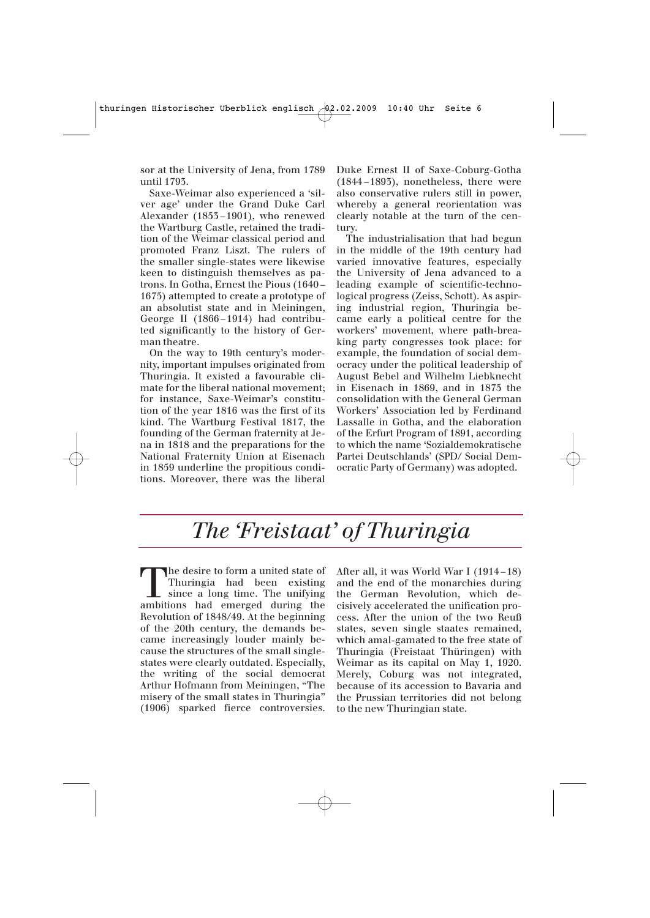sor at the University of Jena, from 1789 until 1793.

Saxe-Weimar also experienced a 'silver age' under the Grand Duke Carl Alexander (1853 –1901), who renewed the Wartburg Castle, retained the tradition of the Weimar classical period and promoted Franz Liszt. The rulers of the smaller single-states were likewise keen to distinguish themselves as patrons. In Gotha, Ernest the Pious (1640 – 1675) attempted to create a prototype of an absolutist state and in Meiningen, George II (1866 –1914) had contributed significantly to the history of German theatre.

On the way to 19th century's modernity, important impulses originated from Thuringia. It existed a favourable climate for the liberal national movement; for instance, Saxe-Weimar's constitution of the year 1816 was the first of its kind. The Wartburg Festival 1817, the founding of the German fraternity at Jena in 1818 and the preparations for the National Fraternity Union at Eisenach in 1859 underline the propitious conditions. Moreover, there was the liberal

Duke Ernest II of Saxe-Coburg-Gotha (1844 –1893), nonetheless, there were also conservative rulers still in power, whereby a general reorientation was clearly notable at the turn of the century.

The industrialisation that had begun in the middle of the 19th century had varied innovative features, especially the University of Jena advanced to a leading example of scientific-technological progress (Zeiss, Schott). As aspiring industrial region, Thuringia became early a political centre for the workers' movement, where path-breaking party congresses took place: for example, the foundation of social democracy under the political leadership of August Bebel and Wilhelm Liebknecht in Eisenach in 1869, and in 1875 the consolidation with the General German Workers' Association led by Ferdinand Lassalle in Gotha, and the elaboration of the Erfurt Program of 1891, according to which the name 'Sozialdemokratische Partei Deutschlands' (SPD/ Social Democratic Party of Germany) was adopted.

#### *The 'Freistaat' of Thuringia*

The desire to form a united state of<br>Thuringia had been existing<br>since a long time. The unifying<br>ambitions had emerged during the Thuringia had been existing ambitions had emerged during the Revolution of 1848/49. At the beginning of the 20th century, the demands became increasingly louder mainly because the structures of the small singlestates were clearly outdated. Especially, the writing of the social democrat Arthur Hofmann from Meiningen, "The misery of the small states in Thuringia" (1906) sparked fierce controversies. After all, it was World War I (1914 –18) and the end of the monarchies during the German Revolution, which decisively accelerated the unification process. After the union of the two Reuß states, seven single staates remained, which amal-gamated to the free state of Thuringia (Freistaat Thüringen) with Weimar as its capital on May 1, 1920. Merely, Coburg was not integrated, because of its accession to Bavaria and the Prussian territories did not belong to the new Thuringian state.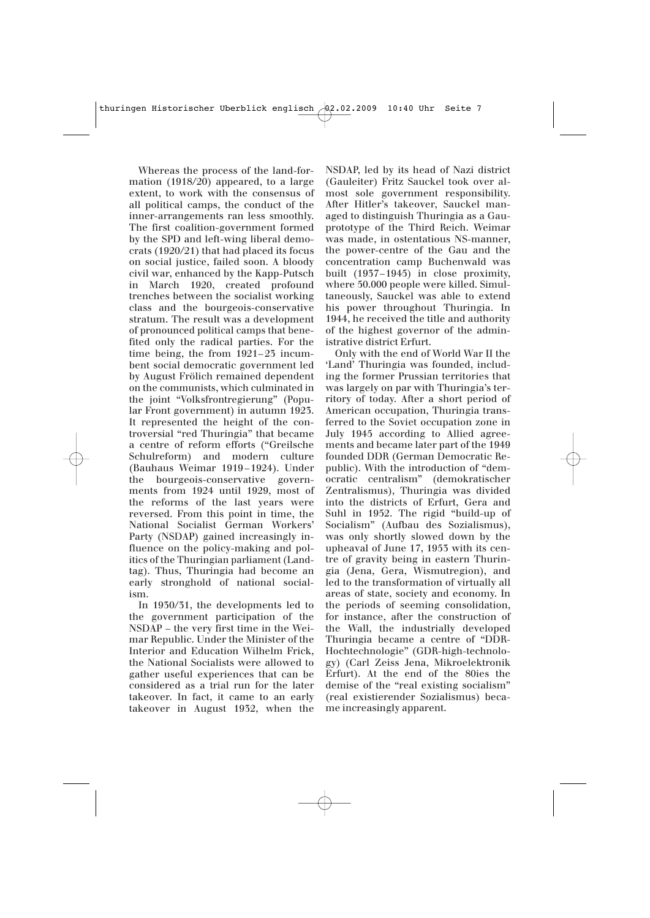Whereas the process of the land-formation (1918/20) appeared, to a large extent, to work with the consensus of all political camps, the conduct of the inner-arrangements ran less smoothly. The first coalition-government formed by the SPD and left-wing liberal democrats (1920/21) that had placed its focus on social justice, failed soon. A bloody civil war, enhanced by the Kapp-Putsch in March 1920, created profound trenches between the socialist working class and the bourgeois-conservative stratum. The result was a development of pronounced political camps that benefited only the radical parties. For the time being, the from  $1921-23$  incumbent social democratic government led by August Frölich remained dependent on the communists, which culminated in the joint "Volksfrontregierung" (Popular Front government) in autumn 1923. It represented the height of the controversial "red Thuringia" that became a centre of reform efforts ("Greilsche Schulreform) and modern culture (Bauhaus Weimar 1919 –1924). Under the bourgeois-conservative governments from 1924 until 1929, most of the reforms of the last years were reversed. From this point in time, the National Socialist German Workers' Party (NSDAP) gained increasingly influence on the policy-making and politics of the Thuringian parliament (Landtag). Thus, Thuringia had become an early stronghold of national socialism.

In 1930/31, the developments led to the government participation of the NSDAP – the very first time in the Weimar Republic. Under the Minister of the Interior and Education Wilhelm Frick, the National Socialists were allowed to gather useful experiences that can be considered as a trial run for the later takeover. In fact, it came to an early takeover in August 1932, when the

NSDAP, led by its head of Nazi district (Gauleiter) Fritz Sauckel took over almost sole government responsibility. After Hitler's takeover, Sauckel managed to distinguish Thuringia as a Gauprototype of the Third Reich. Weimar was made, in ostentatious NS-manner, the power-centre of the Gau and the concentration camp Buchenwald was built (1937–1945) in close proximity, where 50.000 people were killed. Simultaneously, Sauckel was able to extend his power throughout Thuringia. In 1944, he received the title and authority of the highest governor of the administrative district Erfurt.

Only with the end of World War II the 'Land' Thuringia was founded, including the former Prussian territories that was largely on par with Thuringia's territory of today. After a short period of American occupation, Thuringia transferred to the Soviet occupation zone in July 1945 according to Allied agreements and became later part of the 1949 founded DDR (German Democratic Republic). With the introduction of "democratic centralism" (demokratischer Zentralismus), Thuringia was divided into the districts of Erfurt, Gera and Suhl in 1952. The rigid "build-up of Socialism" (Aufbau des Sozialismus), was only shortly slowed down by the upheaval of June 17, 1953 with its centre of gravity being in eastern Thuringia (Jena, Gera, Wismutregion), and led to the transformation of virtually all areas of state, society and economy. In the periods of seeming consolidation, for instance, after the construction of the Wall, the industrially developed Thuringia became a centre of "DDR-Hochtechnologie" (GDR-high-technology) (Carl Zeiss Jena, Mikroelektronik Erfurt). At the end of the 80ies the demise of the "real existing socialism" (real existierender Sozialismus) became increasingly apparent.